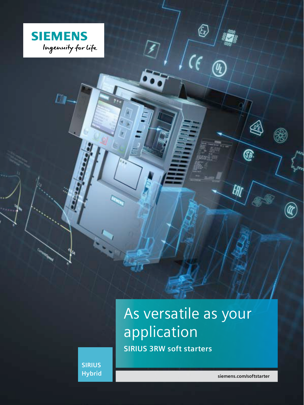

Ū,

As versatile as your application **SIRIUS 3RW soft starters**

 $\circledS$ 

 $\widehat{\theta_{\text{L}}}$ 

R

**GA** 

UH

**SIRIUS Hybrid**

**siemens.com/softstarter**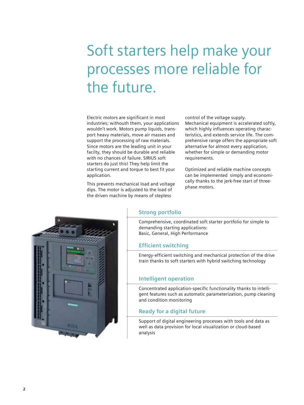# Soft starters help make your processes more reliable for the future.

Electric motors are significant in most industries; withouth them, your applications wouldn't work. Motors pump liquids, transport heavy materials, move air masses and support the processing of raw materials. Since motors are the leading unit in your facilty, they should be durable and reliable with no chances of failure. SIRIUS soft starters do just this! They help limit the starting current and torque to best fit your application.

This prevents mechanical load and voltage dips. The motor is adjusted to the load of the driven machine by means of stepless

control of the voltage supply. Mechanical equipment is accelerated softly, which highly influences operating characteristics, and extends service life. The comprehensive range offers the appropriate soft alternative for almost every application, whether for simple or demanding motor requirements.

Optimized and reliable machine concepts can be implemented simply and economically thanks to the jerk-free start of threephase motors.



## **Strong portfolio**

Comprehensive, coordinated soft starter portfolio for simple to demanding starting applications: Basic, General, High Performance

## **Efficient switching**

Energy-efficient switching and mechanical protection of the drive train thanks to soft starters with hybrid switching technology

### **Intelligent operation**

Concentrated application-specific functionality thanks to intelligent features such as automatic parameterization, pump cleaning and condition monitoring

### **Ready for a digital future**

Support of digital engineering processes with tools and data as well as data provision for local visualization or cloud-based analysis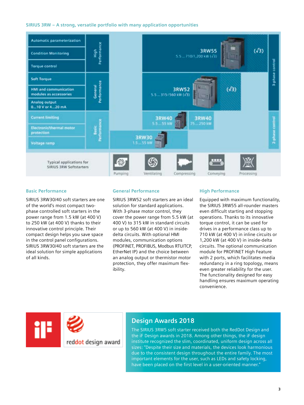#### **SIRIUS 3RW – A strong, versatile portfolio with many application opportunities**



#### **Basic Performance**

SIRIUS 3RW30/40 soft starters are one of the world's most compact twophase controlled soft starters in the power range from 1.5 kW (at 400 V) to 250 kW (at 400 V) thanks to their innovative control principle. Their compact design helps you save space in the control panel configurations. SIRIUS 3RW30/40 soft starters are the ideal solution for simple applications of all kinds.

#### **General Performance**

SIRIUS 3RW52 soft starters are an ideal solution for standard applications. With 3-phase motor control, they cover the power range from 5.5 kW (at 400 V) to 315 kW in standard circuits or up to 560 kW (at 400 V) in insidedelta circuits. With optional HMI modules, communication options (PROFINET, PROFIBUS, Modbus RTU/TCP, EtherNet IP) and the choice between an analog output or thermistor motor protection, they offer maximum flexibility.

#### **High Performance**

Equipped with maximum functionality, the SIRIUS 3RW55 all-rounder masters even difficult starting and stopping operations. Thanks to its innovative torque control, it can be used for drives in a performance class up to 710 kW (at 400 V) in inline circuits or 1,200 kW (at 400 V) in inside-delta circuits. The optional communication module for PROFINET High Feature with 2 ports, which facilitates media redundancy in a ring topology, means even greater reliability for the user. The functionality designed for easy handling ensures maximum operating convenience.



## **Design Awards 2018**

The SIRIUS 3RW5 soft starter received both the RedDot Design and the iF Design awards in 2018. Among other things, the iF design institute recognized the slim, coordinated, uniform design across all sizes: "Despite their size and materials, the devices look harmonious due to the consistent design throughout the entire family. The most important elements for the user, such as LEDs and safety locking, have been placed on the first level in a user-oriented manner."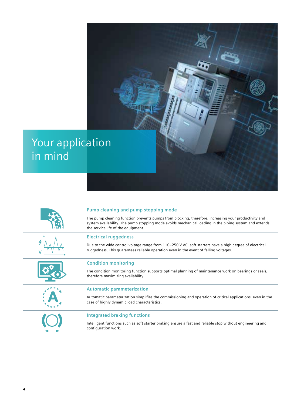## Your application in mind







## **Pump cleaning and pump stopping mode**

The pump cleaning function prevents pumps from blocking, therefore, increasing your productivity and system availability. The pump stopping mode avoids mechanical loading in the piping system and extends the service life of the equipment.

#### **Electrical ruggedness**

Due to the wide control voltage range from 110–250 V AC, soft starters have a high degree of electrical ruggedness. This guarantees reliable operation even in the event of falling voltages.

#### **Condition monitoring**

The condition monitoring function supports optimal planning of maintenance work on bearings or seals, therefore maximizing availability.

#### **Automatic parameterization**

Automatic parameterization simplifies the commissioning and operation of critical applications, even in the case of highly dynamic load characteristics.



#### **Integrated braking functions**

Intelligent functions such as soft starter braking ensure a fast and reliable stop without engineering and configuration work.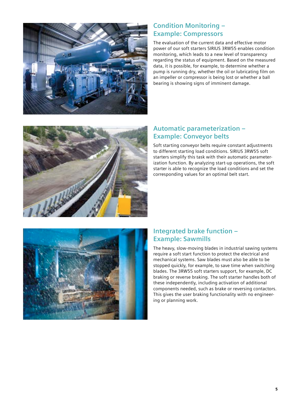

## **Condition Monitoring – Example: Compressors**

The evaluation of the current data and effective motor power of our soft starters SIRIUS 3RW55 enables condition monitoring, which leads to a new level of transparency regarding the status of equipment. Based on the measured data, it is possible, for example, to determine whether a pump is running dry, whether the oil or lubricating film on an impeller or compressor is being lost or whether a ball bearing is showing signs of imminent damage.



## **Automatic parameterization – Example: Conveyor belts**

Soft starting conveyor belts require constant adjustments to different starting load conditions. SIRIUS 3RW55 soft starters simplify this task with their automatic parameterization function. By analyzing start-up operations, the soft starter is able to recognize the load conditions and set the corresponding values for an optimal belt start.



## **Integrated brake function – Example: Sawmills**

The heavy, slow-moving blades in industrial sawing systems require a soft start function to protect the electrical and mechanical systems. Saw blades must also be able to be stopped quickly, for example, to save time when switching blades. The 3RW55 soft starters support, for example, DC braking or reverse braking. The soft starter handles both of these independently, including activation of additional components needed, such as brake or reversing contactors. This gives the user braking functionality with no engineering or planning work.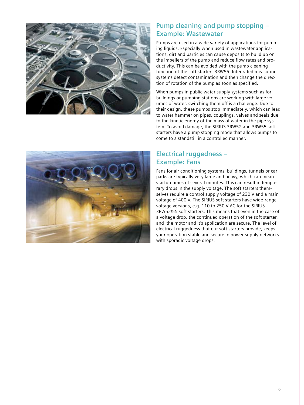

## **Pump cleaning and pump stopping – Example: Wastewater**

Pumps are used in a wide variety of applications for pumping liquids. Especially when used in wastewater applications, dirt and particles can cause deposits to build up on the impellers of the pump and reduce flow rates and productivity. This can be avoided with the pump cleaning function of the soft starters 3RW55: Integrated measuring systems detect contamination and then change the direction of rotation of the pump as soon as specified.

When pumps in public water supply systems such as for buildings or pumping stations are working with large volumes of water, switching them off is a challenge. Due to their design, these pumps stop immediately, which can lead to water hammer on pipes, couplings, valves and seals due to the kinetic energy of the mass of water in the pipe system. To avoid damage, the SIRIUS 3RW52 and 3RW55 soft starters have a pump stopping mode that allows pumps to come to a standstill in a controlled manner.



## **Electrical ruggedness – Example: Fans**

Fans for air conditioning systems, buildings, tunnels or car parks are typically very large and heavy, which can mean startup times of several minutes. This can result in temporary drops in the supply voltage. The soft starters themselves require a control supply voltage of 230 V and a main voltage of 400 V. The SIRIUS soft starters have wide-range voltage versions, e.g. 110 to 250 V AC for the SIRIUS 3RW52/55 soft starters. This means that even in the case of a voltage drop, the continued operation of the soft starter, and the motor and it's application are secure. The level of electrical ruggedness that our soft starters provide, keeps your operation stable and secure in power supply networks with sporadic voltage drops.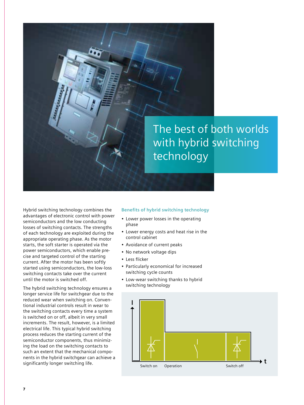

Hybrid switching technology combines the advantages of electronic control with power semiconductors and the low conducting losses of switching contacts. The strengths of each technology are exploited during the appropriate operating phase. As the motor starts, the soft starter is operated via the power semiconductors, which enable precise and targeted control of the starting current. After the motor has been softly started using semiconductors, the low-loss switching contacts take over the current until the motor is switched off.

The hybrid switching technology ensures a longer service life for switchgear due to the reduced wear when switching on. Conventional industrial controls result in wear to the switching contacts every time a system is switched on or off, albeit in very small increments. The result, however, is a limited electrical life. This typical hybrid switching process reduces the starting current of the semiconductor components, thus minimizing the load on the switching contacts to such an extent that the mechanical components in the hybrid switchgear can achieve a significantly longer switching life.

#### **Benefits of hybrid switching technology**

- Lower power losses in the operating phase
- Lower energy costs and heat rise in the control cabinet
- Avoidance of current peaks
- No network voltage dips
- Less flicker
- Particularly economical for increased switching cycle counts
- Low-wear switching thanks to hybrid switching technology

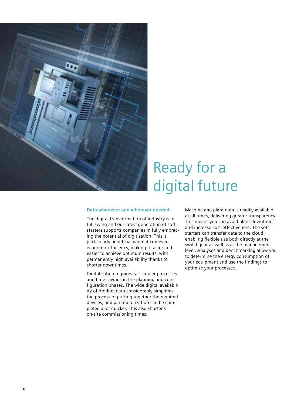

# Ready for a digital future

#### **Data whenever and wherever needed**

The digital transformation of industry is in full swing and our latest generation of soft starters supports companies in fully embracing the potential of digitization. This is particularly beneficial when it comes to economic efficiency, making it faster and easier to achieve optimum results, with permanently high availability thanks to shorter downtimes.

Digitalization requires far simpler processes and time savings in the planning and configuration phases. The wide digital availability of product data considerably simplifies the process of putting together the required devices; and parameterization can be completed a lot quicker. This also shortens on-site commissioning times.

Machine and plant data is readily available at all times, delivering greater transparency. This means you can avoid plant downtimes and increase cost-effectiveness. The soft starters can transfer data to the cloud, enabling flexible use both directly at the switchgear as well as at the management level. Analyses and benchmarking allow you to determine the energy consumption of your equipment and use the findings to optimize your processes.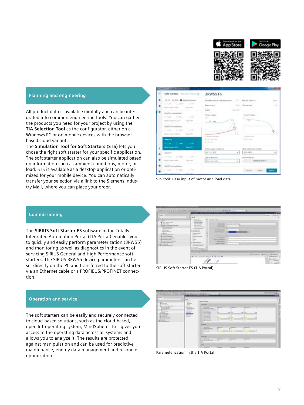



## **Planning and engineering**

All product data is available digitally and can be integrated into common engineering tools. You can gather the products you need for your project by using the **TIA Selection Tool** as the configurator, either on a Windows PC or on mobile devices with the browserbased cloud variant.

The **Simulation Tool for Soft Starters (STS)** lets you chose the right soft starter for your specific application. The soft starter application can also be simulated based on information such as ambient conditions, motor, or load. STS is available as a desktop application or optimized for your mobile device. You can automatically transfer your selection via a link to the Siemens Industry Mall, where you can place your order.

| Soft starters Income Index ()                                                             | 3RW5516                                                                                                                  |                                                                                         |
|-------------------------------------------------------------------------------------------|--------------------------------------------------------------------------------------------------------------------------|-----------------------------------------------------------------------------------------|
| (E.S. C.O. B. Second-Looks)<br>THAT TO BE THE                                             | Ethniques exerting Long (application) [ ] [ ] [ ] May No. (North 1-8)<br>Report Latinson<br>ELAIR<br>$\sim$ 100 and 2003 | 14.1<br>13<br>20-4 Transitions                                                          |
| Martin to treaty Darker<br>2010年 2010年 1月18日<br>Representative Council Council            | Tomical Vicenti<br>$101 - 100$<br>$-14.10$                                                                               | Cornell Tonek<br>$\overline{M}_{\rm{H}}$                                                |
| MATU'TI (room Data)<br>12.474" C'1976 1.7%<br>Roservanene (SLE) The SHI                   | Ukonservat 19<br>A Richard Lab Street                                                                                    | <b><i><i><u><b>D.A. B.W. B. B. B. B. B. B. B. B.</b></u></i></i></b><br>A Modern Andrew |
| <b>MARKET</b><br><b>SEALS ENGINEERING</b><br>Raise corners (CA)  Time (DR)                | at 4 to 2 years \$1000.<br>at the field of<br>Earless massly subsup [10]                                                 | a lotto come .<br><b>Relative School Countries</b>                                      |
| <b>SEATTS T</b><br>2010/11/2010 12:19:13<br>Balancia da Hand (1984), C.C. C. China Street | ALC: 1-120, 120-2<br><b>San al terrorist</b><br>Science Membership<br>$\rightarrow$                                      | 310 visto<br>Final Armora Har-<br><b>Control Committee Streets</b>                      |
| <b>MATTE &amp; Income Dame:</b><br>THE TIME IT'S<br>man competition in the competition    |                                                                                                                          | book to their<br>$\sim$                                                                 |



#### **Commissioning**

The **SIRIUS Soft Starter ES** software in the Totally Integrated Automation Portal (TIA Portal) enables you to quickly and easily perform parameterization (3RW55) and monitoring as well as diagnostics in the event of servicing SIRIUS General and High Performance soft starters. The SIRIUS 3RW55 device parameters can be set directly on the PC and transferred to the soft starter via an Ethernet cable or a PROFIBUS/PROFINET connection.

| <b>SECRET</b><br>×                                                                                                      | I have I have the best of as the I haven't<br>1230.4                  |                                                      | <b>Britannico</b> | -681 |
|-------------------------------------------------------------------------------------------------------------------------|-----------------------------------------------------------------------|------------------------------------------------------|-------------------|------|
| * Japan                                                                                                                 |                                                                       | backed clients.                                      |                   |      |
| $\sim$<br>The contract of the American<br>TV GLOBAL CONFIDENTIAL PRODUCT<br>The content of the Con-<br>L. Hills Charles | -----<br>2000                                                         | <b>SEARCHER LINE AND SHELTING</b><br><b>SUPERING</b> |                   |      |
| If houses<br>- The contemporary<br>of a new firm                                                                        | <b>BANKER</b> RATE<br><b>Changed</b><br>The Contract                  | <b>PARTY OF</b><br>---                               | -                 |      |
| At the financial process of an age<br>of the convenience in the party<br>or presentation to be                          | <b>SAN AVE</b><br><b>STAND</b><br>$-1$                                | <b>STATE REPORT FOR</b><br><b>Search Ave.</b>        |                   |      |
| of all private constructions<br>or in interestimations on                                                               | <b>STATE</b><br>$\sim$                                                | <b>CONTRACTOR</b><br><b>REGISTER</b>                 |                   |      |
| In 18 percent and decoration<br>in against complete and the<br>To Mexico Marketin carried                               | of the day of the means<br>Chrysler General Color<br>Committee States | <b><i><u>PERSONAL PROPERTY</u></i></b>               |                   |      |
|                                                                                                                         | to allow some<br>                                                     |                                                      |                   |      |
|                                                                                                                         | ٠                                                                     |                                                      | <b>Artistant</b>  |      |
|                                                                                                                         | a con concert with                                                    | ALCOHOL: NO                                          |                   |      |

SIRIUS Soft Starter ES (TIA Portal)

#### **Operation and service**

The soft starters can be easily and securely connected to cloud-based solutions, such as the cloud-based, open IoT operating system, MindSphere. This gives you access to the operating data across all systems and allows you to analyze it. The results are protected against manipulation and can be used for predictive maintenance, energy data management and resource optimization.

| Factories<br><b>Market</b>                                                                                                                                                                                                                                           | ※ 日本にたちがたな家族を見えは地に近いに、はまさせ<br><b><i>Distances controlled the con-</i></b>                                             |                                                                                                                                                                                                                                                                                                                                                                                                |                                                                 |                                                                                                |                                                                           |                                                  | <b>TORY</b><br>÷ |
|----------------------------------------------------------------------------------------------------------------------------------------------------------------------------------------------------------------------------------------------------------------------|-----------------------------------------------------------------------------------------------------------------------|------------------------------------------------------------------------------------------------------------------------------------------------------------------------------------------------------------------------------------------------------------------------------------------------------------------------------------------------------------------------------------------------|-----------------------------------------------------------------|------------------------------------------------------------------------------------------------|---------------------------------------------------------------------------|--------------------------------------------------|------------------|
| ×<br>the company's company's company's<br><b>B</b> detection                                                                                                                                                                                                         | 1019.<br><b>Branch</b><br>B.A.<br>distant facts                                                                       | <b>BOTA GATES</b><br>$\sim$                                                                                                                                                                                                                                                                                                                                                                    |                                                                 |                                                                                                |                                                                           |                                                  |                  |
| <b>Billiannia</b><br>A 12-A price colorado anos<br>a distance shown<br>2 Anniversion<br>1. Parish<br><b>Science</b><br><b>CARLO CO</b><br>19 Million<br>Top produced in<br>Lake Charles and Charles<br>A 24 years or exposed.<br>Antiques (1977)<br><b>Bit means</b> | <b>SHEET</b><br><b>SERVICE CONTROL</b><br><b>SCARDS</b><br><b>Service</b><br><b>Sales</b><br>---<br><b>STATISTICS</b> | $\frac{1}{2} \left( \frac{1}{2} \right) \left( \frac{1}{2} \right) \left( \frac{1}{2} \right) \left( \frac{1}{2} \right)$<br><b>Service Control</b><br>The Company of the Company<br>-<br>1. March Louis<br><b>CONTRACTOR</b><br>and and company<br><b>STATISTICS</b><br>the company state and<br>or training page of<br>the Constitution and the party<br>TO SERVICE PART<br>all concentrates | -<br>.<br>and an<br>÷<br><b>Section</b><br>-<br>$-$<br>-<br>. . | -<br>π<br><b>Date (State</b> )<br><b>SECURITY</b><br>×<br>--<br><b>Security</b><br><b>STAR</b> | ٠<br>14.74<br><b>MAILER</b><br>×<br><b>Sales County</b><br>and case<br>-- | <b>Signal</b><br>$\sim$<br>÷<br>$\sim$<br>$\sim$ |                  |
|                                                                                                                                                                                                                                                                      |                                                                                                                       | Charles and<br>The company of the company of the<br>an transmission and<br>the commitments of                                                                                                                                                                                                                                                                                                  | <b>SALES</b><br><b>SECTION</b><br>. .<br>-                      | <b>State of Con-</b><br>--                                                                     | <b>CALL AND</b><br>$-1$<br>œ                                              |                                                  |                  |
|                                                                                                                                                                                                                                                                      |                                                                                                                       | <b>School Street</b><br><b>BASIC MODELS</b><br>-                                                                                                                                                                                                                                                                                                                                               | $-$<br>$\sim$                                                   | <b>STATISTICS</b><br><b>Book</b>                                                               | <b>STATE</b><br>$\sim$                                                    |                                                  |                  |

Parameterization in the TIA Portal